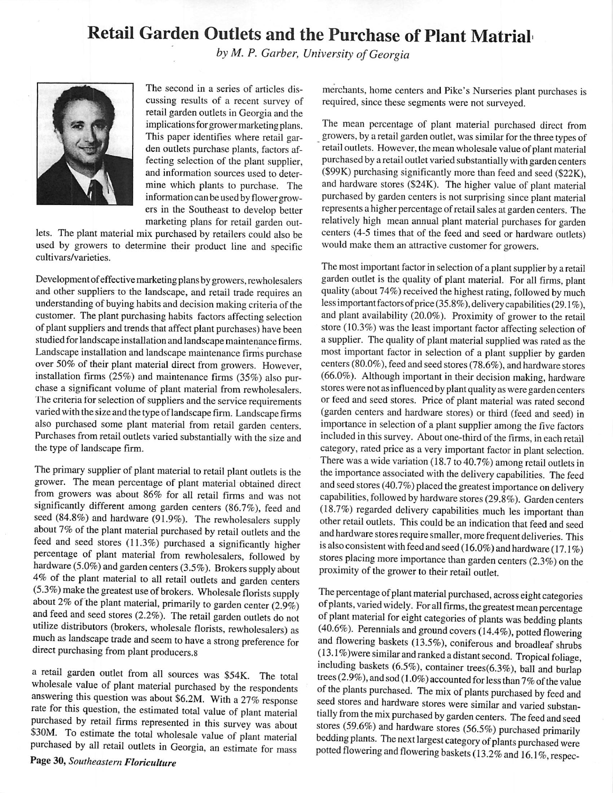## Retail Garden Outlets and the Purchase of Plant Matrial

**by** *M. P.* **Garber, University ofGeorgia**



The second in a series of articles dis cussing results of a recent survey of retail garden outlets in Georgia and the implications for grower marketing plans. This paper identifies where retail gar den outlets purchase plants, factors af fecting selection of the plant supplier, and information sources used to deter mine which plants to purchase. The information can be used by flower growers in the Southeast to develop better marketing plans for retail garden out

lets. The plant material mix purchased by retailers could also be used by growers to determine their product line and specific cultivars/varieties.

Development of effective marketing plans by growers, rewholesalers and other suppliers to the landscape, and retail trade requires an understanding of buying habits and decision making criteria of the customer. The plant purchasing habits factors affecting selection of plant suppliers and trends that affect plant purchases) have been studied for landscape installation and landscape maintenance firms. Landscape installation and landscape maintenance firms purchase over 50% of their plant material direct from growers. However, installation firms (25%) and maintenance firms (35%) also pur chase a significant volume of plant material from rewholesalers. The criteria for selection of suppliers and the service requirements varied with the size and the type of landscape firm. Landscape firms also purchased some plant material from retail garden centers. Purchases from retail outlets varied substantially with the size and the type of landscape firm.

The primary supplier of plant material to retail plant outlets is the grower. The mean percentage of plant material obtained direct from growers was about 86% for all retail firms and was not significantly different among garden centers (86.7%), feed and seed (84.8%) and hardware (91.9%). The rewholesalers supply about 7% of the plant material purchased by retail outlets and the feed and seed stores (11.3%) purchased a significantly higher percentage of plant material from rewholesalers, followed by hardware (5.0%) and garden centers (3.5%). Brokers supply about 4% of the plant material to all retail outlets and garden centers (5.3%) make the greatest use of brokers. Wholesale florists supply about 2% of the plant material, primarily to garden center  $(2.9\%)$ and feed and seed stores (2.2%). The retail garden outlets do not utilize distributors (brokers, wholesale florists, rewholesalers) as much as landscape trade and seem to have astrong preference for direct purchasing from plant producers.8

a retail garden outlet from all sources was \$54K. The total wholesale value of plant material purchased by the respondents answering this question was about \$6.2M. With a 27% response rate for this question, the estimated total value of plant material purchased by retail firms represented in this survey was about S30M. To estimate the total wholesale value of plant material purchased by all retail outlets in Georgia, an estimate for mass

merchants, home centers and Pike's Nurseries plant purchases is required, since these segments were not surveyed.

The mean percentage of plant material purchased direct from growers, by a retail garden outlet, was similar for the three types of retail outlets. However, the mean wholesale value of plant material purchased by a retail outlet varied substantially with garden centers (\$99K) purchasing significantly more than feed and seed (\$22K), and hardware stores (\$24K). The higher value of plant material purchased by garden centers is not surprising since plant material represents a higher percentage of retail sales at garden centers. The relatively high mean annual plant material purchases for garden centers (4-5 times that of the feed and seed or hardware outlets) would make them an attractive customer for growers.

The most important factor in selection of a plant supplier by a retail garden outlet is the quality of plant material. For all firms, plant quality (about 74%) received the highest rating, followed by much less important factors of price (35.8%), delivery capabilities (29.1%), and plant availability (20.0%). Proximity of grower to the retail store (10.3%) was the least important factor affecting selection of a supplier. The quality of plant material supplied was rated as the most important factor in selection of a plant supplier by garden centers (80.0%), feed and seed stores (78.6%), and hardware stores (66.0%). Although important in their decision making, hardware stores were not as influenced by plant quality as were garden centers or feed and seed stores. Price of plant material was rated second (garden centers and hardware stores) or third (feed and seed) in importance in selection of a plant supplier among the five factors included in this survey. About one-third of the firms, in each retail category, rated price as a very important factor in plant selection. There was a wide variation (18.7 to  $40.7\%$ ) among retail outlets in the importance associated with the delivery capabilities. The feed and seed stores (40.7%) placed the greatest importance on delivery capabilities, followed byhardware stores (29.8%). Garden centers (18.7%) regarded delivery capabilities much les important than other retail outlets. This could be an indication that feed and seed and hardware stores require smaller, more frequent deliveries. This is also consistent with feed and seed (16.0%) and hardware (17.1%) stores placing more importance than garden centers (2.3%) on the proximity of the grower to their retail outlet.

The percentage of plant material purchased, across eight categories ofplants, varied widely. For all firms, the greatest mean percentage of plant material for eight categories of plants was bedding plants (40.6%). Perennials and ground covers (14.4%), potted flowering and flowering baskets (13.5%), coniferous and broadleaf shrubs (13.1 %)were similar and ranked adistantsecond. Tropical foliage, including baskets (6.5%), container trees(6.3%), ball and burlap trees (2.9%), and sod (1.0%) accounted for less than 7% of the value of the plants purchased. The mix of plants purchased by feed and seed stores and hardware stores were similar and varied substan tially from the mix purchased by garden centers. The feed and seed stores (59.6%) and hardware stores (56.5%) purchased primarily bedding plants. The next largest category of plants purchased were potted flowering and flowering baskets (13.2% and 16.1%, respec-